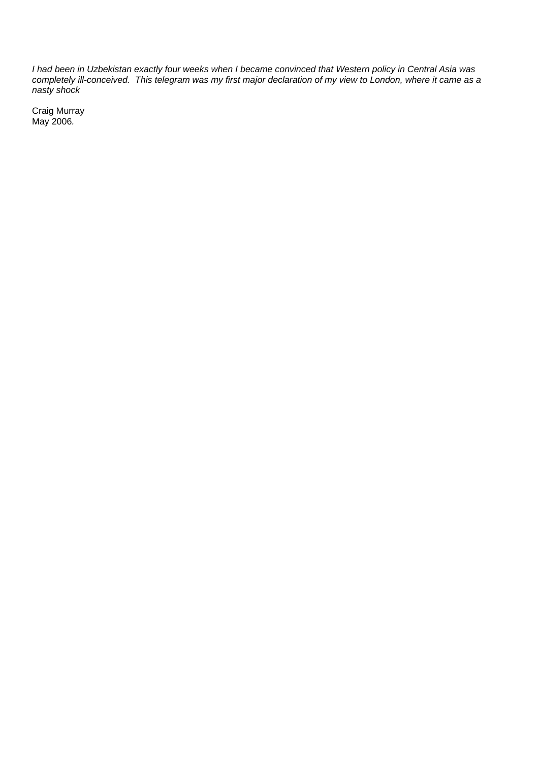*I had been in Uzbekistan exactly four weeks when I became convinced that Western policy in Central Asia was completely ill-conceived. This telegram was my first major declaration of my view to London, where it came as a nasty shock* 

Craig Murray May 2006*.*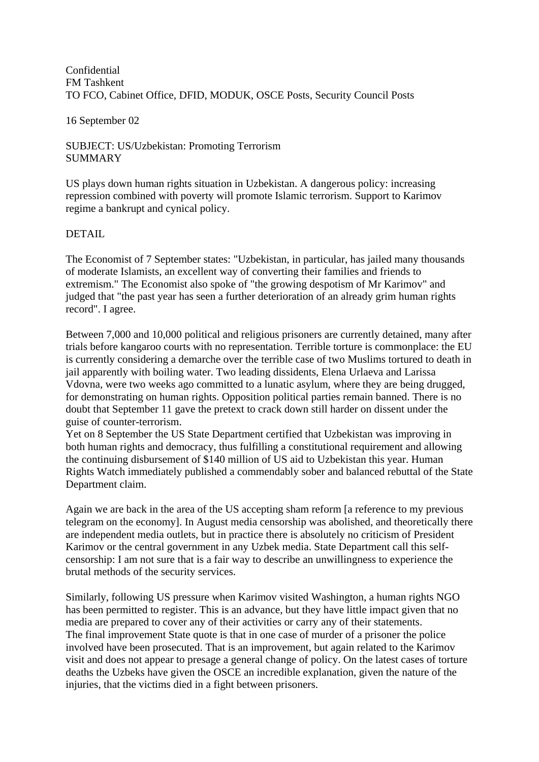Confidential FM Tashkent TO FCO, Cabinet Office, DFID, MODUK, OSCE Posts, Security Council Posts

16 September 02

SUBJECT: US/Uzbekistan: Promoting Terrorism SUMMARY

US plays down human rights situation in Uzbekistan. A dangerous policy: increasing repression combined with poverty will promote Islamic terrorism. Support to Karimov regime a bankrupt and cynical policy.

## DETAIL

The Economist of 7 September states: "Uzbekistan, in particular, has jailed many thousands of moderate Islamists, an excellent way of converting their families and friends to extremism." The Economist also spoke of "the growing despotism of Mr Karimov" and judged that "the past year has seen a further deterioration of an already grim human rights record". I agree.

Between 7,000 and 10,000 political and religious prisoners are currently detained, many after trials before kangaroo courts with no representation. Terrible torture is commonplace: the EU is currently considering a demarche over the terrible case of two Muslims tortured to death in jail apparently with boiling water. Two leading dissidents, Elena Urlaeva and Larissa Vdovna, were two weeks ago committed to a lunatic asylum, where they are being drugged, for demonstrating on human rights. Opposition political parties remain banned. There is no doubt that September 11 gave the pretext to crack down still harder on dissent under the guise of counter-terrorism.

Yet on 8 September the US State Department certified that Uzbekistan was improving in both human rights and democracy, thus fulfilling a constitutional requirement and allowing the continuing disbursement of \$140 million of US aid to Uzbekistan this year. Human Rights Watch immediately published a commendably sober and balanced rebuttal of the State Department claim.

Again we are back in the area of the US accepting sham reform [a reference to my previous telegram on the economy]. In August media censorship was abolished, and theoretically there are independent media outlets, but in practice there is absolutely no criticism of President Karimov or the central government in any Uzbek media. State Department call this selfcensorship: I am not sure that is a fair way to describe an unwillingness to experience the brutal methods of the security services.

Similarly, following US pressure when Karimov visited Washington, a human rights NGO has been permitted to register. This is an advance, but they have little impact given that no media are prepared to cover any of their activities or carry any of their statements. The final improvement State quote is that in one case of murder of a prisoner the police involved have been prosecuted. That is an improvement, but again related to the Karimov visit and does not appear to presage a general change of policy. On the latest cases of torture deaths the Uzbeks have given the OSCE an incredible explanation, given the nature of the injuries, that the victims died in a fight between prisoners.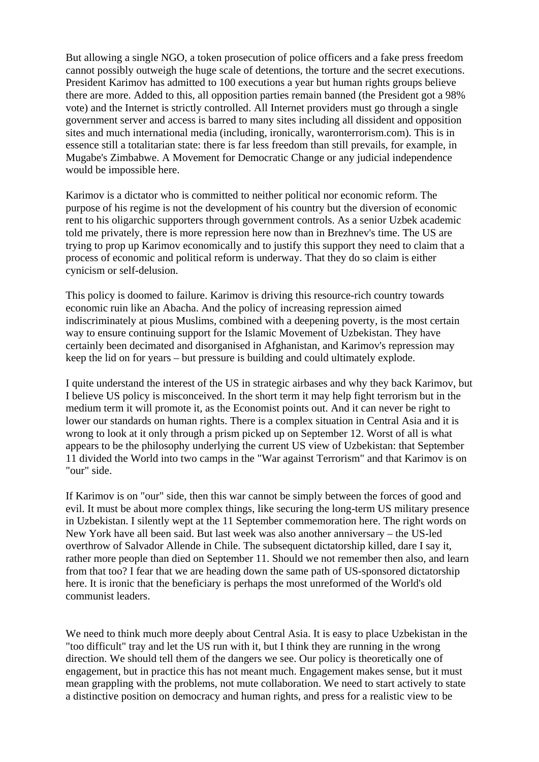But allowing a single NGO, a token prosecution of police officers and a fake press freedom cannot possibly outweigh the huge scale of detentions, the torture and the secret executions. President Karimov has admitted to 100 executions a year but human rights groups believe there are more. Added to this, all opposition parties remain banned (the President got a 98% vote) and the Internet is strictly controlled. All Internet providers must go through a single government server and access is barred to many sites including all dissident and opposition sites and much international media (including, ironically, waronterrorism.com). This is in essence still a totalitarian state: there is far less freedom than still prevails, for example, in Mugabe's Zimbabwe. A Movement for Democratic Change or any judicial independence would be impossible here.

Karimov is a dictator who is committed to neither political nor economic reform. The purpose of his regime is not the development of his country but the diversion of economic rent to his oligarchic supporters through government controls. As a senior Uzbek academic told me privately, there is more repression here now than in Brezhnev's time. The US are trying to prop up Karimov economically and to justify this support they need to claim that a process of economic and political reform is underway. That they do so claim is either cynicism or self-delusion.

This policy is doomed to failure. Karimov is driving this resource-rich country towards economic ruin like an Abacha. And the policy of increasing repression aimed indiscriminately at pious Muslims, combined with a deepening poverty, is the most certain way to ensure continuing support for the Islamic Movement of Uzbekistan. They have certainly been decimated and disorganised in Afghanistan, and Karimov's repression may keep the lid on for years – but pressure is building and could ultimately explode.

I quite understand the interest of the US in strategic airbases and why they back Karimov, but I believe US policy is misconceived. In the short term it may help fight terrorism but in the medium term it will promote it, as the Economist points out. And it can never be right to lower our standards on human rights. There is a complex situation in Central Asia and it is wrong to look at it only through a prism picked up on September 12. Worst of all is what appears to be the philosophy underlying the current US view of Uzbekistan: that September 11 divided the World into two camps in the "War against Terrorism" and that Karimov is on "our" side.

If Karimov is on "our" side, then this war cannot be simply between the forces of good and evil. It must be about more complex things, like securing the long-term US military presence in Uzbekistan. I silently wept at the 11 September commemoration here. The right words on New York have all been said. But last week was also another anniversary – the US-led overthrow of Salvador Allende in Chile. The subsequent dictatorship killed, dare I say it, rather more people than died on September 11. Should we not remember then also, and learn from that too? I fear that we are heading down the same path of US-sponsored dictatorship here. It is ironic that the beneficiary is perhaps the most unreformed of the World's old communist leaders.

We need to think much more deeply about Central Asia. It is easy to place Uzbekistan in the "too difficult" tray and let the US run with it, but I think they are running in the wrong direction. We should tell them of the dangers we see. Our policy is theoretically one of engagement, but in practice this has not meant much. Engagement makes sense, but it must mean grappling with the problems, not mute collaboration. We need to start actively to state a distinctive position on democracy and human rights, and press for a realistic view to be